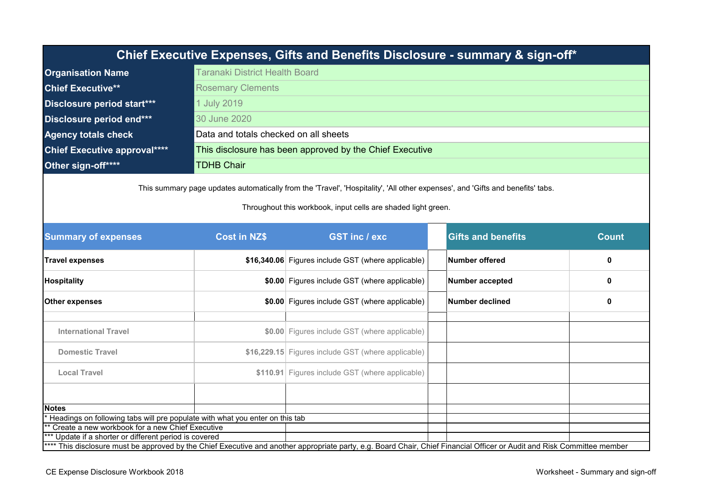|                                                                                                                                                                          |                                       | Chief Executive Expenses, Gifts and Benefits Disclosure - summary & sign-off*         |                           |              |  |  |
|--------------------------------------------------------------------------------------------------------------------------------------------------------------------------|---------------------------------------|---------------------------------------------------------------------------------------|---------------------------|--------------|--|--|
| <b>Organisation Name</b>                                                                                                                                                 | <b>Taranaki District Health Board</b> |                                                                                       |                           |              |  |  |
| <b>Chief Executive**</b>                                                                                                                                                 | <b>Rosemary Clements</b>              |                                                                                       |                           |              |  |  |
| Disclosure period start***                                                                                                                                               | 1 July 2019                           |                                                                                       |                           |              |  |  |
| Disclosure period end***                                                                                                                                                 | 30 June 2020                          |                                                                                       |                           |              |  |  |
| <b>Agency totals check</b>                                                                                                                                               | Data and totals checked on all sheets |                                                                                       |                           |              |  |  |
| <b>Chief Executive approval****</b>                                                                                                                                      |                                       | This disclosure has been approved by the Chief Executive                              |                           |              |  |  |
| Other sign-off****                                                                                                                                                       | <b>TDHB Chair</b>                     |                                                                                       |                           |              |  |  |
| <b>Summary of expenses</b>                                                                                                                                               | <b>Cost in NZ\$</b>                   | Throughout this workbook, input cells are shaded light green.<br><b>GST inc / exc</b> | <b>Gifts and benefits</b> | <b>Count</b> |  |  |
| <b>Travel expenses</b>                                                                                                                                                   |                                       | \$16,340.06 Figures include GST (where applicable)                                    | <b>Number offered</b>     | 0            |  |  |
| Hospitality                                                                                                                                                              |                                       | \$0.00 Figures include GST (where applicable)                                         | <b>Number accepted</b>    | 0            |  |  |
| Other expenses                                                                                                                                                           |                                       | \$0.00 Figures include GST (where applicable)                                         | <b>Number declined</b>    | 0            |  |  |
| <b>International Travel</b>                                                                                                                                              |                                       | \$0.00 Figures include GST (where applicable)                                         |                           |              |  |  |
| <b>Domestic Travel</b>                                                                                                                                                   |                                       | \$16,229.15 Figures include GST (where applicable)                                    |                           |              |  |  |
| <b>Local Travel</b>                                                                                                                                                      |                                       | \$110.91 Figures include GST (where applicable)                                       |                           |              |  |  |
|                                                                                                                                                                          |                                       |                                                                                       |                           |              |  |  |
| <b>Notes</b>                                                                                                                                                             |                                       |                                                                                       |                           |              |  |  |
| Headings on following tabs will pre populate with what you enter on this tab<br>** Create a new workbook for a new Chief Executive                                       |                                       |                                                                                       |                           |              |  |  |
| Update if a shorter or different period is covered                                                                                                                       |                                       |                                                                                       |                           |              |  |  |
| **** This disclosure must be approved by the Chief Executive and another appropriate party, e.g. Board Chair, Chief Financial Officer or Audit and Risk Committee member |                                       |                                                                                       |                           |              |  |  |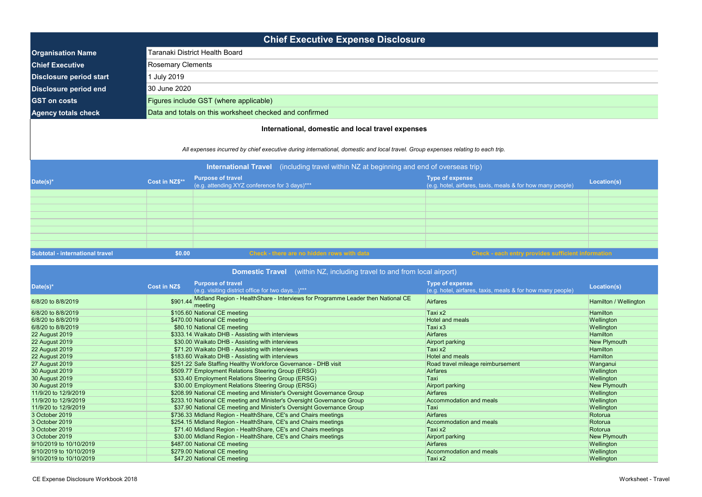| <b>Chief Executive Expense Disclosure</b> |                                                         |  |  |  |  |
|-------------------------------------------|---------------------------------------------------------|--|--|--|--|
| <b>Organisation Name</b>                  | Taranaki District Health Board                          |  |  |  |  |
| <b>Chief Executive</b>                    | <b>Rosemary Clements</b>                                |  |  |  |  |
| <b>Disclosure period start</b>            | Uuly 2019                                               |  |  |  |  |
| Disclosure period end                     | 30 June 2020                                            |  |  |  |  |
| <b>GST on costs</b>                       | Figures include GST (where applicable)                  |  |  |  |  |
| <b>Agency totals check</b>                | Data and totals on this worksheet checked and confirmed |  |  |  |  |
|                                           |                                                         |  |  |  |  |

| <b>Domestic Travel</b> (within NZ, including travel to and from local airport) |                     |                                                                                            |                                                                                      |                       |  |
|--------------------------------------------------------------------------------|---------------------|--------------------------------------------------------------------------------------------|--------------------------------------------------------------------------------------|-----------------------|--|
| Date(s)*                                                                       | <b>Cost in NZ\$</b> | <b>Purpose of travel</b><br>(e.g. visiting district office for two days)***                | <b>Type of expense</b><br>(e.g. hotel, airfares, taxis, meals & for how many people) | Location(s)           |  |
| 6/8/20 to 8/8/2019                                                             | \$901.44            | Midland Region - HealthShare - Interviews for Programme Leader then National CE<br>meeting | <b>Airfares</b>                                                                      | Hamilton / Wellington |  |
| 6/8/20 to 8/8/2019                                                             |                     | \$105.60 National CE meeting                                                               | Taxi x2                                                                              | <b>Hamilton</b>       |  |
| 6/8/20 to 8/8/2019                                                             |                     | \$470.00 National CE meeting                                                               | <b>Hotel and meals</b>                                                               | Wellington            |  |
| 6/8/20 to 8/8/2019                                                             |                     | \$80.10 National CE meeting                                                                | Taxi x3                                                                              | Wellington            |  |
| <b>22 August 2019</b>                                                          |                     | \$333.14 Waikato DHB - Assisting with interviews                                           | <b>Airfares</b>                                                                      | <b>Hamilton</b>       |  |
| 22 August 2019                                                                 |                     | \$30.00 Waikato DHB - Assisting with interviews                                            | <b>Airport parking</b>                                                               | New Plymouth          |  |
| 22 August 2019                                                                 |                     | \$71.20 Waikato DHB - Assisting with interviews                                            | Taxi x2                                                                              | <b>Hamilton</b>       |  |
| 22 August 2019                                                                 |                     | \$183.60 Waikato DHB - Assisting with interviews                                           | Hotel and meals                                                                      | <b>Hamilton</b>       |  |
| 27 August 2019                                                                 |                     | \$251.22 Safe Staffing Healthy Workforce Governance - DHB visit                            | Road travel mileage reimbursement                                                    | Wanganui              |  |
| 30 August 2019                                                                 |                     | \$509.77 Employment Relations Steering Group (ERSG)                                        | Airfares                                                                             | Wellington            |  |
| 30 August 2019                                                                 |                     | \$33.40 Employment Relations Steering Group (ERSG)                                         | Taxi                                                                                 | Wellington            |  |
| 30 August 2019                                                                 |                     | \$30.00 Employment Relations Steering Group (ERSG)                                         | <b>Airport parking</b>                                                               | New Plymouth          |  |
| 11/9/20 to 12/9/2019                                                           |                     | \$208.99 National CE meeting and Minister's Oversight Governance Group                     | <b>Airfares</b>                                                                      | Wellington            |  |
| 11/9/20 to 12/9/2019                                                           |                     | \$233.10 National CE meeting and Minister's Oversight Governance Group                     | Accommodation and meals                                                              | Wellington            |  |
| 11/9/20 to 12/9/2019                                                           |                     | \$37.90 National CE meeting and Minister's Oversight Governance Group                      | Taxi                                                                                 | Wellington            |  |
| 3 October 2019                                                                 |                     | \$736.33 Midland Region - HealthShare, CE's and Chairs meetings                            | <b>Airfares</b>                                                                      | Rotorua               |  |
| 3 October 2019                                                                 |                     | \$254.15 Midland Region - HealthShare, CE's and Chairs meetings                            | Accommodation and meals                                                              | Rotorua               |  |
| 3 October 2019                                                                 |                     | \$71.40 Midland Region - HealthShare, CE's and Chairs meetings                             | Taxi x2                                                                              | Rotorua               |  |
| 3 October 2019                                                                 |                     | \$30.00 Midland Region - HealthShare, CE's and Chairs meetings                             | <b>Airport parking</b>                                                               | New Plymouth          |  |
| 9/10/2019 to 10/10/2019                                                        |                     | \$487.00 National CE meeting                                                               | <b>Airfares</b>                                                                      | Wellington            |  |
| 9/10/2019 to 10/10/2019                                                        |                     | \$279.00 National CE meeting                                                               | Accommodation and meals                                                              | Wellington            |  |
| 9/10/2019 to 10/10/2019                                                        |                     | \$47.20 National CE meeting                                                                | Taxi x2                                                                              | Wellington            |  |

| <b>International Travel</b> (including travel within NZ at beginning and end of overseas trip) |                |                                                                           |                                                                                        |             |
|------------------------------------------------------------------------------------------------|----------------|---------------------------------------------------------------------------|----------------------------------------------------------------------------------------|-------------|
| Date(s)*                                                                                       | Cost in NZ\$** | <b>Purpose of travel</b><br>(e.g. attending XYZ conference for 3 days)*** | <b>Type of expense</b><br>$(e.g.$ hotel, airfares, taxis, meals & for how many people) | Location(s) |
|                                                                                                |                |                                                                           |                                                                                        |             |
|                                                                                                |                |                                                                           |                                                                                        |             |
|                                                                                                |                |                                                                           |                                                                                        |             |
|                                                                                                |                |                                                                           |                                                                                        |             |
|                                                                                                |                |                                                                           |                                                                                        |             |
|                                                                                                |                |                                                                           |                                                                                        |             |
|                                                                                                |                |                                                                           |                                                                                        |             |
|                                                                                                |                |                                                                           |                                                                                        |             |
| Subtotal - international travel                                                                | \$0.00         | Check - there are no hidden rows with data                                | Check - each entry provides sufficient information                                     |             |

## **International, domestic and local travel expenses**

*All expenses incurred by chief executive during international, domestic and local travel. Group expenses relating to each trip.*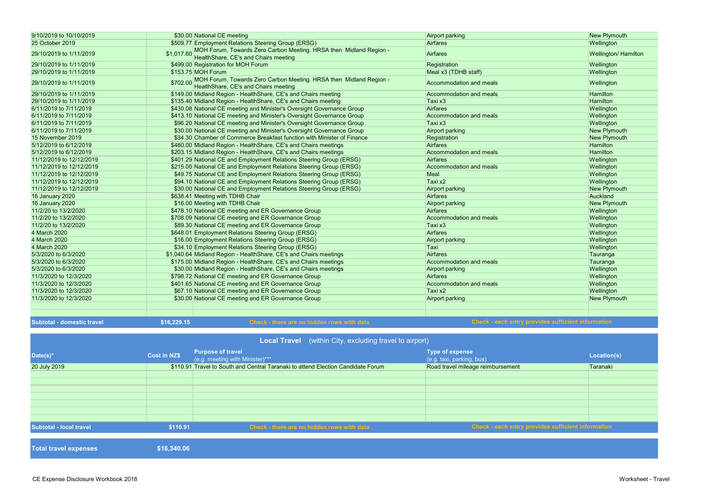CE Expense Disclosure Workbook 2018 Worksheet - Travel

| 9/10/2019 to 10/10/2019    | \$30.00 National CE meeting                                                                                           | Airport parking                                           | <b>New Plymouth</b>  |
|----------------------------|-----------------------------------------------------------------------------------------------------------------------|-----------------------------------------------------------|----------------------|
| 25 October 2019            | \$509.77 Employment Relations Steering Group (ERSG)                                                                   | Airfares                                                  | Wellington           |
| 29/10/2019 to 1/11/2019    | \$1,017.60 MOH Forum, Towards Zero Carbon Meeting. HRSA then Midland Region -<br>HealthShare, CE's and Chairs meeting | Airfares                                                  | Wellington/ Hamilton |
| 29/10/2019 to 1/11/2019    | \$499.00 Registration for MOH Forum                                                                                   | Registration                                              | Wellington           |
| 29/10/2019 to 1/11/2019    | \$153.75 MOH Forum                                                                                                    | Meal x3 (TDHB staff)                                      | Wellington           |
| 29/10/2019 to 1/11/2019    | \$702.00 MOH Forum, Towards Zero Carbon Meeting. HRSA then Midland Region -<br>HealthShare, CE's and Chairs meeting   | Accommodation and meals                                   | Wellington           |
| 29/10/2019 to 1/11/2019    | \$149.00 Midland Region - HealthShare, CE's and Chairs meeting                                                        | Accommodation and meals                                   | <b>Hamilton</b>      |
| 29/10/2019 to 1/11/2019    | \$135.40 Midland Region - HealthShare, CE's and Chairs meeting                                                        | Taxi x3                                                   | <b>Hamilton</b>      |
| 6/11/2019 to 7/11/2019     | \$430.08 National CE meeting and Minister's Oversight Governance Group                                                | Airfares                                                  | Wellington           |
| 6/11/2019 to 7/11/2019     | \$413.10 National CE meeting and Minister's Oversight Governance Group                                                | Accommodation and meals                                   | Wellington           |
| 6/11/2019 to 7/11/2019     | \$96.20 National CE meeting and Minister's Oversight Governance Group                                                 | Taxi x3                                                   | Wellington           |
| 6/11/2019 to 7/11/2019     | \$30.00 National CE meeting and Minister's Oversight Governance Group                                                 | Airport parking                                           | New Plymouth         |
| 15 November 2019           | \$34.30 Chamber of Commerce Breakfast function with Minister of Finance                                               | Registration                                              | New Plymouth         |
| 5/12/2019 to 6/12/2019     | \$480.00 Midland Region - HealthShare, CE's and Chairs meetings                                                       | Airfares                                                  | <b>Hamilton</b>      |
| 5/12/2019 to 6/12/2019     | \$203.15 Midland Region - HealthShare, CE's and Chairs meetings                                                       | Accommodation and meals                                   | <b>Hamilton</b>      |
| 11/12/2019 to 12/12/2019   | \$401.29 National CE and Employment Relations Steering Group (ERSG)                                                   | Airfares                                                  | Wellington           |
| 11/12/2019 to 12/12/2019   | \$215.00 National CE and Employment Relations Steering Group (ERSG)                                                   | Accommodation and meals                                   | Wellington           |
| 11/12/2019 to 12/12/2019   | \$49.75 National CE and Employment Relations Steering Group (ERSG)                                                    | Meal                                                      | Wellington           |
| 11/12/2019 to 12/12/2019   | \$94.10 National CE and Employment Relations Steering Group (ERSG)                                                    | Taxi x2                                                   | Wellington           |
| 11/12/2019 to 12/12/2019   | \$30.00 National CE and Employment Relations Steering Group (ERSG)                                                    | Airport parking                                           | New Plymouth         |
| 16 January 2020            | \$638.41 Meeting with TDHB Chair                                                                                      | Airfares                                                  | Auckland             |
| <b>16 January 2020</b>     | \$16.00 Meeting with TDHB Chair                                                                                       | Airport parking                                           | <b>New Plymouth</b>  |
| 11/2/20 to 13/2/2020       | \$478.10 National CE meeting and ER Governance Group                                                                  | Airfares                                                  | Wellington           |
| 11/2/20 to 13/2/2020       | \$708.09 National CE meeting and ER Governance Group                                                                  | Accommodation and meals                                   | Wellington           |
| 11/2/20 to 13/2/2020       | \$89.30 National CE meeting and ER Governance Group                                                                   | Taxi x3                                                   | Wellington           |
| 4 March 2020               | \$648.01 Employment Relations Steering Group (ERSG)                                                                   | Airfares                                                  | Wellington           |
| 4 March 2020               | \$16.00 Employment Relations Steering Group (ERSG)                                                                    | Airport parking                                           | Wellington           |
| 4 March 2020               | \$34.10 Employment Relations Steering Group (ERSG)                                                                    | Taxi                                                      | Wellington           |
| 5/3/2020 to 6/3/2020       | \$1,040.64 Midland Region - HealthShare, CE's and Chairs meetings                                                     | Airfares                                                  | Tauranga             |
| 5/3/2020 to 6/3/2020       | \$175.00 Midland Region - HealthShare, CE's and Chairs meetings                                                       | Accommodation and meals                                   | Tauranga             |
| 5/3/2020 to 6/3/2020       | \$30.00 Midland Region - HealthShare, CE's and Chairs meetings                                                        | Airport parking                                           | Wellington           |
| 11/3/2020 to 12/3/2020     | \$798.72 National CE meeting and ER Governance Group                                                                  | Airfares                                                  | Wellington           |
| 11/3/2020 to 12/3/2020     | \$401.65 National CE meeting and ER Governance Group                                                                  | Accommodation and meals                                   | Wellington           |
| 11/3/2020 to 12/3/2020     | \$67.10 National CE meeting and ER Governance Group                                                                   | Taxi x2                                                   | Wellington           |
| 11/3/2020 to 12/3/2020     | \$30.00 National CE meeting and ER Governance Group                                                                   | Airport parking                                           | New Plymouth         |
|                            |                                                                                                                       |                                                           |                      |
|                            |                                                                                                                       |                                                           |                      |
| Subtotal - domestic travel | \$16,229.15<br>Check - there are no hidden rows with data                                                             | <b>Check - each entry provides sufficient information</b> |                      |

| <b>Local Travel</b> (within City, excluding travel to airport) |                     |                                                                                  |                                                           |             |  |
|----------------------------------------------------------------|---------------------|----------------------------------------------------------------------------------|-----------------------------------------------------------|-------------|--|
| Date(s)*                                                       | <b>Cost in NZ\$</b> | <b>Purpose of travel</b><br>(e.g. meeting with Minister)***                      | <b>Type of expense</b><br>(e.g. taxi, parking, bus)       | Location(s) |  |
| 20 July 2019                                                   |                     | \$110.91 Travel to South and Central Taranaki to attend Election Candidate Forum | Road travel mileage reimbursement                         | Taranaki    |  |
|                                                                |                     |                                                                                  |                                                           |             |  |
|                                                                |                     |                                                                                  |                                                           |             |  |
|                                                                |                     |                                                                                  |                                                           |             |  |
|                                                                |                     |                                                                                  |                                                           |             |  |
|                                                                |                     |                                                                                  |                                                           |             |  |
|                                                                |                     |                                                                                  |                                                           |             |  |
|                                                                |                     |                                                                                  |                                                           |             |  |
| <b>Subtotal - local travel</b>                                 | \$110.91            | Check - there are no hidden rows with data                                       | <b>Check - each entry provides sufficient information</b> |             |  |
|                                                                |                     |                                                                                  |                                                           |             |  |
| <b>Total travel expenses</b>                                   | \$16,340.06         |                                                                                  |                                                           |             |  |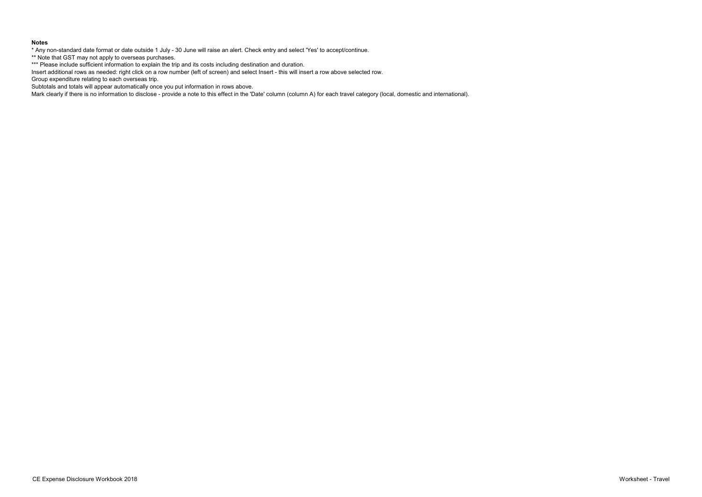## **Notes**

\* Any non-standard date format or date outside 1 July - 30 June will raise an alert. Check entry and select 'Yes' to accept/continue.

\*\* Note that GST may not apply to overseas purchases.

\*\*\* Please include sufficient information to explain the trip and its costs including destination and duration.

Insert additional rows as needed: right click on a row number (left of screen) and select Insert - this will insert a row above selected row.

Group expenditure relating to each overseas trip.

Subtotals and totals will appear automatically once you put information in rows above.

Mark clearly if there is no information to disclose - provide a note to this effect in the 'Date' column (column A) for each travel category (local, domestic and international).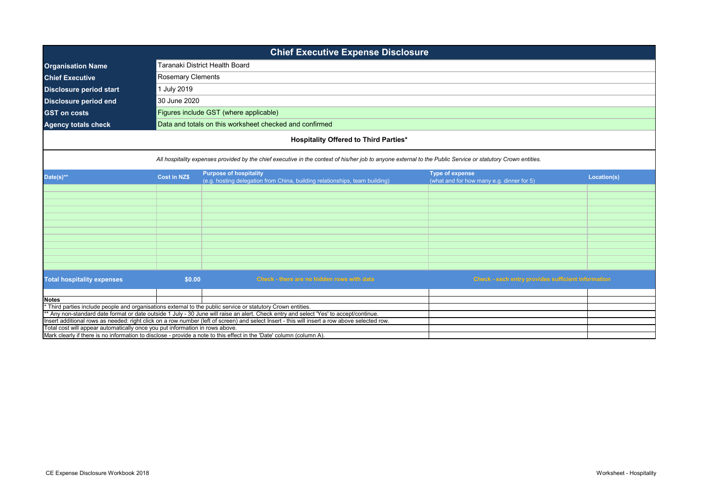| <b>Chief Executive Expense Disclosure</b>                                                                                             |                                                                                                                                                                                                                           |                                                                                                                                               |                                                    |  |  |
|---------------------------------------------------------------------------------------------------------------------------------------|---------------------------------------------------------------------------------------------------------------------------------------------------------------------------------------------------------------------------|-----------------------------------------------------------------------------------------------------------------------------------------------|----------------------------------------------------|--|--|
| <b>Organisation Name</b>                                                                                                              |                                                                                                                                                                                                                           | Taranaki District Health Board                                                                                                                |                                                    |  |  |
| <b>Chief Executive</b>                                                                                                                | <b>Rosemary Clements</b>                                                                                                                                                                                                  |                                                                                                                                               |                                                    |  |  |
| <b>Disclosure period start</b>                                                                                                        | 1 July 2019                                                                                                                                                                                                               |                                                                                                                                               |                                                    |  |  |
| <b>Disclosure period end</b>                                                                                                          | 30 June 2020                                                                                                                                                                                                              |                                                                                                                                               |                                                    |  |  |
| <b>GST on costs</b>                                                                                                                   |                                                                                                                                                                                                                           | Figures include GST (where applicable)                                                                                                        |                                                    |  |  |
| <b>Agency totals check</b>                                                                                                            |                                                                                                                                                                                                                           | Data and totals on this worksheet checked and confirmed                                                                                       |                                                    |  |  |
|                                                                                                                                       |                                                                                                                                                                                                                           |                                                                                                                                               |                                                    |  |  |
|                                                                                                                                       |                                                                                                                                                                                                                           | <b>Hospitality Offered to Third Parties*</b>                                                                                                  |                                                    |  |  |
|                                                                                                                                       | All hospitality expenses provided by the chief executive in the context of his/her job to anyone external to the Public Service or statutory Crown entities.                                                              |                                                                                                                                               |                                                    |  |  |
| Date(s)**                                                                                                                             | <b>Purpose of hospitality</b><br><b>Type of expense</b><br><b>Cost in NZ\$</b><br>Location(s)<br>(e.g. hosting delegation from China, building relationships, team building)<br>(what and for how many e.g. dinner for 5) |                                                                                                                                               |                                                    |  |  |
|                                                                                                                                       |                                                                                                                                                                                                                           |                                                                                                                                               |                                                    |  |  |
|                                                                                                                                       |                                                                                                                                                                                                                           |                                                                                                                                               |                                                    |  |  |
|                                                                                                                                       |                                                                                                                                                                                                                           |                                                                                                                                               |                                                    |  |  |
|                                                                                                                                       |                                                                                                                                                                                                                           |                                                                                                                                               |                                                    |  |  |
|                                                                                                                                       |                                                                                                                                                                                                                           |                                                                                                                                               |                                                    |  |  |
|                                                                                                                                       |                                                                                                                                                                                                                           |                                                                                                                                               |                                                    |  |  |
|                                                                                                                                       |                                                                                                                                                                                                                           |                                                                                                                                               |                                                    |  |  |
|                                                                                                                                       |                                                                                                                                                                                                                           |                                                                                                                                               |                                                    |  |  |
|                                                                                                                                       |                                                                                                                                                                                                                           |                                                                                                                                               |                                                    |  |  |
| <b>Total hospitality expenses</b>                                                                                                     | \$0.00                                                                                                                                                                                                                    | Check - there are no hidden rows with data                                                                                                    | Check - each entry provides sufficient information |  |  |
| <b>Notes</b>                                                                                                                          |                                                                                                                                                                                                                           |                                                                                                                                               |                                                    |  |  |
|                                                                                                                                       |                                                                                                                                                                                                                           | Third parties include people and organisations external to the public service or statutory Crown entities.                                    |                                                    |  |  |
| * Any non-standard date format or date outside 1 July - 30 June will raise an alert. Check entry and select 'Yes' to accept/continue. |                                                                                                                                                                                                                           |                                                                                                                                               |                                                    |  |  |
|                                                                                                                                       |                                                                                                                                                                                                                           | Insert additional rows as needed: right click on a row number (left of screen) and select Insert - this will insert a row above selected row. |                                                    |  |  |
| Total cost will appear automatically once you put information in rows above.                                                          |                                                                                                                                                                                                                           | Mark clearly if there is no information to disclose - provide a note to this effect in the 'Date' column (column A).                          |                                                    |  |  |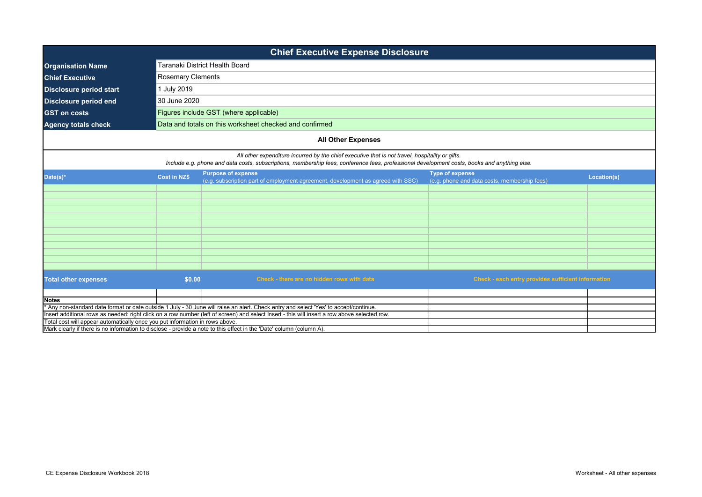| <b>Chief Executive Expense Disclosure</b>                                    |                                                                                                                                                                                                                                                 |                                                                                                                                                                                                                                                                                        |                                                                        |             |  |
|------------------------------------------------------------------------------|-------------------------------------------------------------------------------------------------------------------------------------------------------------------------------------------------------------------------------------------------|----------------------------------------------------------------------------------------------------------------------------------------------------------------------------------------------------------------------------------------------------------------------------------------|------------------------------------------------------------------------|-------------|--|
| <b>Organisation Name</b>                                                     |                                                                                                                                                                                                                                                 | Taranaki District Health Board                                                                                                                                                                                                                                                         |                                                                        |             |  |
| <b>Chief Executive</b>                                                       | Rosemary Clements                                                                                                                                                                                                                               |                                                                                                                                                                                                                                                                                        |                                                                        |             |  |
| <b>Disclosure period start</b>                                               | <b>July 2019</b>                                                                                                                                                                                                                                |                                                                                                                                                                                                                                                                                        |                                                                        |             |  |
| <b>Disclosure period end</b>                                                 | 30 June 2020                                                                                                                                                                                                                                    |                                                                                                                                                                                                                                                                                        |                                                                        |             |  |
| <b>GST on costs</b>                                                          |                                                                                                                                                                                                                                                 | Figures include GST (where applicable)                                                                                                                                                                                                                                                 |                                                                        |             |  |
| <b>Agency totals check</b>                                                   |                                                                                                                                                                                                                                                 | Data and totals on this worksheet checked and confirmed                                                                                                                                                                                                                                |                                                                        |             |  |
|                                                                              |                                                                                                                                                                                                                                                 |                                                                                                                                                                                                                                                                                        |                                                                        |             |  |
|                                                                              |                                                                                                                                                                                                                                                 | <b>All Other Expenses</b>                                                                                                                                                                                                                                                              |                                                                        |             |  |
|                                                                              | All other expenditure incurred by the chief executive that is not travel, hospitality or gifts.<br>Include e.g. phone and data costs, subscriptions, membership fees, conference fees, professional development costs, books and anything else. |                                                                                                                                                                                                                                                                                        |                                                                        |             |  |
| Date(s)*                                                                     | <b>Cost in NZ\$</b>                                                                                                                                                                                                                             | <b>Purpose of expense</b><br>(e.g. subscription part of employment agreement, development as agreed with SSC)                                                                                                                                                                          | <b>Type of expense</b><br>(e.g. phone and data costs, membership fees) | Location(s) |  |
|                                                                              |                                                                                                                                                                                                                                                 |                                                                                                                                                                                                                                                                                        |                                                                        |             |  |
|                                                                              |                                                                                                                                                                                                                                                 |                                                                                                                                                                                                                                                                                        |                                                                        |             |  |
|                                                                              |                                                                                                                                                                                                                                                 |                                                                                                                                                                                                                                                                                        |                                                                        |             |  |
|                                                                              |                                                                                                                                                                                                                                                 |                                                                                                                                                                                                                                                                                        |                                                                        |             |  |
|                                                                              |                                                                                                                                                                                                                                                 |                                                                                                                                                                                                                                                                                        |                                                                        |             |  |
|                                                                              |                                                                                                                                                                                                                                                 |                                                                                                                                                                                                                                                                                        |                                                                        |             |  |
|                                                                              |                                                                                                                                                                                                                                                 |                                                                                                                                                                                                                                                                                        |                                                                        |             |  |
|                                                                              |                                                                                                                                                                                                                                                 |                                                                                                                                                                                                                                                                                        |                                                                        |             |  |
| <b>Total other expenses</b>                                                  | \$0.00                                                                                                                                                                                                                                          | Check - there are no hidden rows with data                                                                                                                                                                                                                                             | Check - each entry provides sufficient information                     |             |  |
|                                                                              |                                                                                                                                                                                                                                                 |                                                                                                                                                                                                                                                                                        |                                                                        |             |  |
| <b>Notes</b>                                                                 |                                                                                                                                                                                                                                                 |                                                                                                                                                                                                                                                                                        |                                                                        |             |  |
|                                                                              |                                                                                                                                                                                                                                                 | * Any non-standard date format or date outside 1 July - 30 June will raise an alert. Check entry and select 'Yes' to accept/continue.<br>Insert additional rows as needed: right click on a row number (left of screen) and select Insert - this will insert a row above selected row. |                                                                        |             |  |
| Total cost will appear automatically once you put information in rows above. |                                                                                                                                                                                                                                                 |                                                                                                                                                                                                                                                                                        |                                                                        |             |  |
|                                                                              | Mark clearly if there is no information to disclose - provide a note to this effect in the 'Date' column (column A).                                                                                                                            |                                                                                                                                                                                                                                                                                        |                                                                        |             |  |